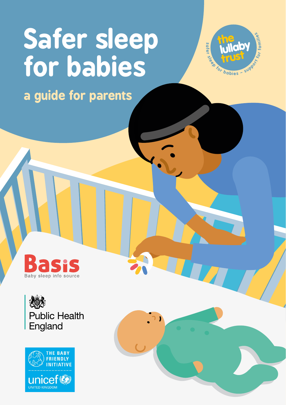# **Safer sleep for babies**



**a guide for parents**





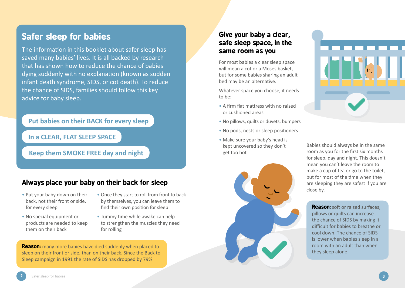## **Safer sleep for babies**

The information in this booklet about safer sleep has saved many babies' lives. It is all backed by research that has shown how to reduce the chance of babies dying suddenly with no explanation (known as sudden infant death syndrome, SIDS, or cot death). To reduce the chance of SIDS, families should follow this key advice for baby sleep.

**Put babies on their BACK for every sleep**

**In a CLEAR, FLAT SLEEP SPACE**

**Keep them SMOKE FREE day and night**

## **Always place your baby on their back for sleep**

- Put your baby down on their back, not their front or side, for every sleep
- No special equipment or products are needed to keep them on their back
- Once they start to roll from front to back by themselves, you can leave them to find their own position for sleep
- Tummy time while awake can help to strengthen the muscles they need for rolling

**Reason:** many more babies have died suddenly when placed to sleep on their front or side, than on their back. Since the Back to Sleep campaign in 1991 the rate of SIDS has dropped by 79%

## **Give your baby a clear, safe sleep space, in the same room as you**

For most babies a clear sleep space will mean a cot or a Moses basket, but for some babies sharing an adult bed may be an alternative.

Whatever space you choose, it needs to be:

- A firm flat mattress with no raised or cushioned areas
- No pillows, quilts or duvets, bumpers
- No pods, nests or sleep positioners
- Make sure your baby's head is kept uncovered so they don't get too hot





Babies should always be in the same room as you for the first six months for sleep, day and night. This doesn't mean you can't leave the room to make a cup of tea or go to the toilet, but for most of the time when they are sleeping they are safest if you are close by.

**Reason:** soft or raised surfaces, pillows or quilts can increase the chance of SIDS by making it difficult for babies to breathe or cool down. The chance of SIDS is lower when babies sleep in a room with an adult than when they sleep alone.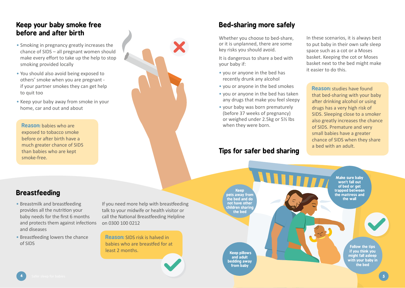### **Keep your baby smoke free before and after birth**

- Smoking in pregnancy greatly increases the chance of SIDS – all pregnant women should make every effort to take up the help to stop smoking provided locally
- You should also avoid being exposed to others' smoke when you are pregnant if your partner smokes they can get help to quit too
- Keep your baby away from smoke in your home, car and out and about

**Reason:** babies who are exposed to tobacco smoke before or after birth have a much greater chance of SIDS than babies who are kept smoke-free.

## **Breastfeeding**

- Breastmilk and breastfeeding provides all the nutrition your baby needs for the first 6 months and protects them against infections and diseases
- Breastfeeding lowers the chance of SIDS

If you need more help with breastfeeding talk to your midwife or health visitor or call the National Breastfeeding Helpline on 0300 100 0212

**Reason:** SIDS risk is halved in babies who are breastfed for at least 2 months.



It is dangerous to share a bed with your baby if:

- you or anyone in the bed has recently drunk any alcohol
- you or anyone in the bed smokes
- you or anyone in the bed has taken any drugs that make you feel sleepy
- your baby was born prematurely (before 37 weeks of pregnancy) or weighed under 2.5kg or 5½ lbs when they were born.

## **Tips for safer bed sharing**

In these scenarios, it is always best to put baby in their own safe sleep space such as a cot or a Moses basket. Keeping the cot or Moses basket next to the bed might make it easier to do this.

**Reason:** studies have found that bed-sharing with your baby after drinking alcohol or using drugs has a very high risk of SIDS. Sleeping close to a smoker also greatly increases the chance of SIDS. Premature and very small babies have a greater chance of SIDS when they share a bed with an adult.

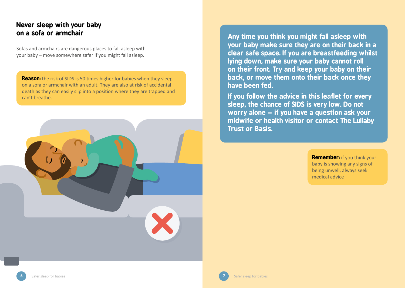## **Never sleep with your baby**

Sofas and armchairs are dangerous places to fall asleep with your baby – move somewhere safer if you might fall asleep.

**z z Reason:** the risk of SIDS is 50 times higher for babies when they sleep on a sofa or armchair with an adult. They are also at risk of accidental death as they can easily slip into a position where they are trapped and can't breathe.



Any time you think you might fall asleep with **your baby make sure they are on their back in a clear safe space. If you are breastfeeding whilst lying down, make sure your baby cannot roll on their front. Try and keep your baby on their back, or move them onto their back once they have been fed.** 

**If you follow the advice in this leaflet for every sleep, the chance of SIDS is very low. Do not worry alone – if you have a question ask your midwife or health visitor or contact The Lullaby Trust or Basis.**

> **Remember:** if you think your baby is showing any signs of being unwell, always seek medical advice